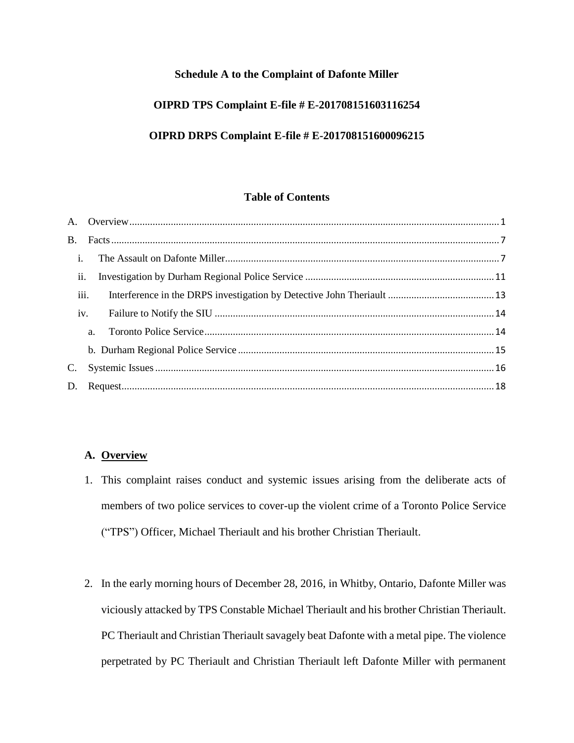# **Schedule A to the Complaint of Dafonte Miller**

# **OIPRD TPS Complaint E-file # E-201708151603116254**

# **OIPRD DRPS Complaint E-file # E-201708151600096215**

## **Table of Contents**

| $\mathbf{i}$ . |      |  |
|----------------|------|--|
|                | ii.  |  |
|                | iii. |  |
|                | iv.  |  |
|                | a.   |  |
|                |      |  |
| C.             |      |  |
| D.             |      |  |
|                |      |  |

# <span id="page-0-0"></span>**A. Overview**

- 1. This complaint raises conduct and systemic issues arising from the deliberate acts of members of two police services to cover-up the violent crime of a Toronto Police Service ("TPS") Officer, Michael Theriault and his brother Christian Theriault.
- 2. In the early morning hours of December 28, 2016, in Whitby, Ontario, Dafonte Miller was viciously attacked by TPS Constable Michael Theriault and his brother Christian Theriault. PC Theriault and Christian Theriault savagely beat Dafonte with a metal pipe. The violence perpetrated by PC Theriault and Christian Theriault left Dafonte Miller with permanent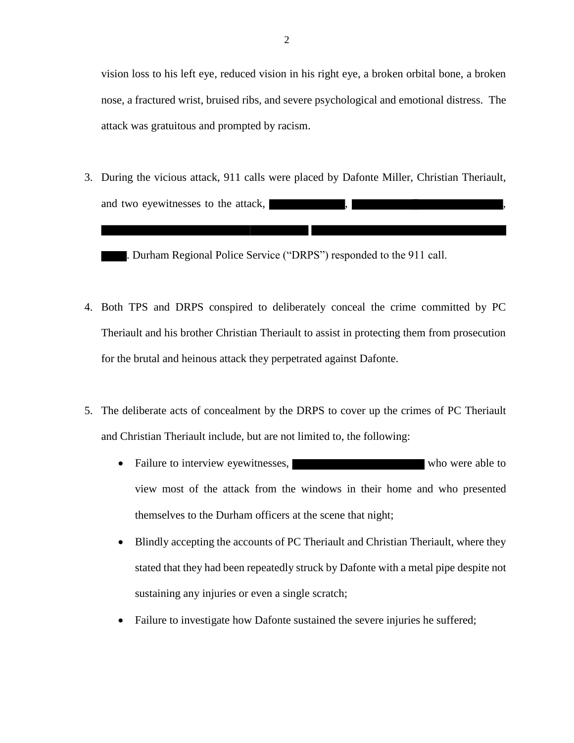vision loss to his left eye, reduced vision in his right eye, a broken orbital bone, a broken nose, a fractured wrist, bruised ribs, and severe psychological and emotional distress. The attack was gratuitous and prompted by racism.

3. During the vicious attack, 911 calls were placed by Dafonte Miller, Christian Theriault, and two eyewitnesses to the attack,

. Durham Regional Police Service ("DRPS") responded to the 911 call.

- 4. Both TPS and DRPS conspired to deliberately conceal the crime committed by PC Theriault and his brother Christian Theriault to assist in protecting them from prosecution for the brutal and heinous attack they perpetrated against Dafonte.
- 5. The deliberate acts of concealment by the DRPS to cover up the crimes of PC Theriault and Christian Theriault include, but are not limited to, the following:
	- Failure to interview eyewitnesses, who were able to who were able to view most of the attack from the windows in their home and who presented themselves to the Durham officers at the scene that night;
	- Blindly accepting the accounts of PC Theriault and Christian Theriault, where they stated that they had been repeatedly struck by Dafonte with a metal pipe despite not sustaining any injuries or even a single scratch;
	- Failure to investigate how Dafonte sustained the severe injuries he suffered;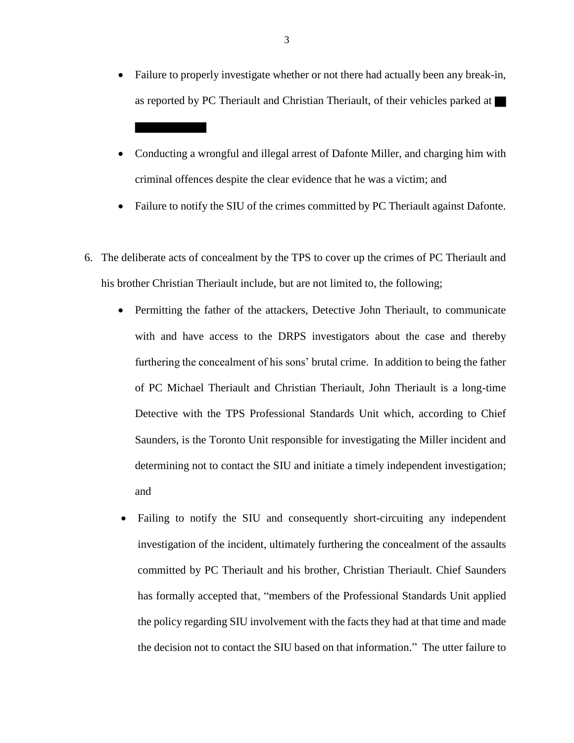- Failure to properly investigate whether or not there had actually been any break-in, as reported by PC Theriault and Christian Theriault, of their vehicles parked at
- Conducting a wrongful and illegal arrest of Dafonte Miller, and charging him with criminal offences despite the clear evidence that he was a victim; and
- Failure to notify the SIU of the crimes committed by PC Theriault against Dafonte.
- 6. The deliberate acts of concealment by the TPS to cover up the crimes of PC Theriault and his brother Christian Theriault include, but are not limited to, the following;
	- Permitting the father of the attackers, Detective John Theriault, to communicate with and have access to the DRPS investigators about the case and thereby furthering the concealment of his sons' brutal crime. In addition to being the father of PC Michael Theriault and Christian Theriault, John Theriault is a long-time Detective with the TPS Professional Standards Unit which, according to Chief Saunders, is the Toronto Unit responsible for investigating the Miller incident and determining not to contact the SIU and initiate a timely independent investigation; and
	- Failing to notify the SIU and consequently short-circuiting any independent investigation of the incident, ultimately furthering the concealment of the assaults committed by PC Theriault and his brother, Christian Theriault. Chief Saunders has formally accepted that, "members of the Professional Standards Unit applied the policy regarding SIU involvement with the facts they had at that time and made the decision not to contact the SIU based on that information." The utter failure to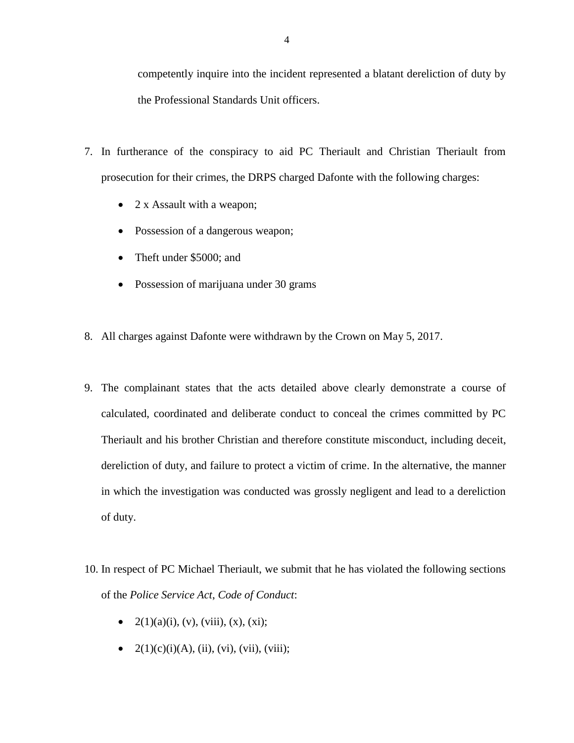competently inquire into the incident represented a blatant dereliction of duty by the Professional Standards Unit officers.

- 7. In furtherance of the conspiracy to aid PC Theriault and Christian Theriault from prosecution for their crimes, the DRPS charged Dafonte with the following charges:
	- 2 x Assault with a weapon;
	- Possession of a dangerous weapon;
	- Theft under \$5000; and
	- Possession of marijuana under 30 grams
- 8. All charges against Dafonte were withdrawn by the Crown on May 5, 2017.
- 9. The complainant states that the acts detailed above clearly demonstrate a course of calculated, coordinated and deliberate conduct to conceal the crimes committed by PC Theriault and his brother Christian and therefore constitute misconduct, including deceit, dereliction of duty, and failure to protect a victim of crime. In the alternative, the manner in which the investigation was conducted was grossly negligent and lead to a dereliction of duty.
- 10. In respect of PC Michael Theriault, we submit that he has violated the following sections of the *Police Service Act*, *Code of Conduct*:
	- $2(1)(a)(i)$ , (v), (viii), (x), (xi);
	- $2(1)(c)(i)(A), (ii), (vi), (vii), (viii);$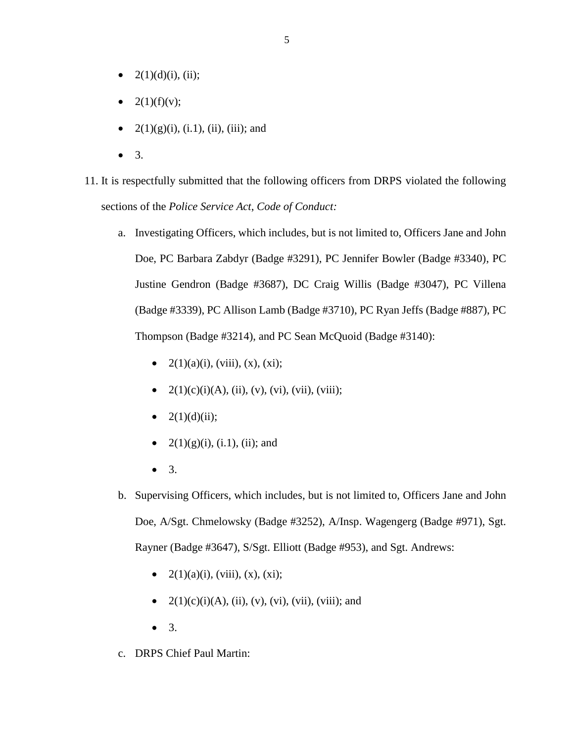- $2(1)(d)(i)$ , (ii);
- 2(1)(f)(v);
- $2(1)(g)(i)$ , (i.1), (ii), (iii); and
- $\bullet$  3.

11. It is respectfully submitted that the following officers from DRPS violated the following sections of the *Police Service Act*, *Code of Conduct:*

- a. Investigating Officers, which includes, but is not limited to, Officers Jane and John Doe, PC Barbara Zabdyr (Badge #3291), PC Jennifer Bowler (Badge #3340), PC Justine Gendron (Badge #3687), DC Craig Willis (Badge #3047), PC Villena (Badge #3339), PC Allison Lamb (Badge #3710), PC Ryan Jeffs (Badge #887), PC Thompson (Badge #3214), and PC Sean McQuoid (Badge #3140):
	- $2(1)(a)(i)$ , (viii), (x), (xi);
	- $2(1)(c)(i)(A), (ii), (v), (vi), (vii), (viii);$
	- $2(1)(d)(ii)$ ;
	- $2(1)(g)(i)$ , (i.1), (ii); and
	- 3.
- b. Supervising Officers, which includes, but is not limited to, Officers Jane and John Doe, A/Sgt. Chmelowsky (Badge #3252), A/Insp. Wagengerg (Badge #971), Sgt. Rayner (Badge #3647), S/Sgt. Elliott (Badge #953), and Sgt. Andrews:
	- $2(1)(a)(i)$ , (viii), (x), (xi);
	- $2(1)(c)(i)(A), (ii), (v), (vi), (vii), (viii); and$
	- $\bullet$  3.
- c. DRPS Chief Paul Martin: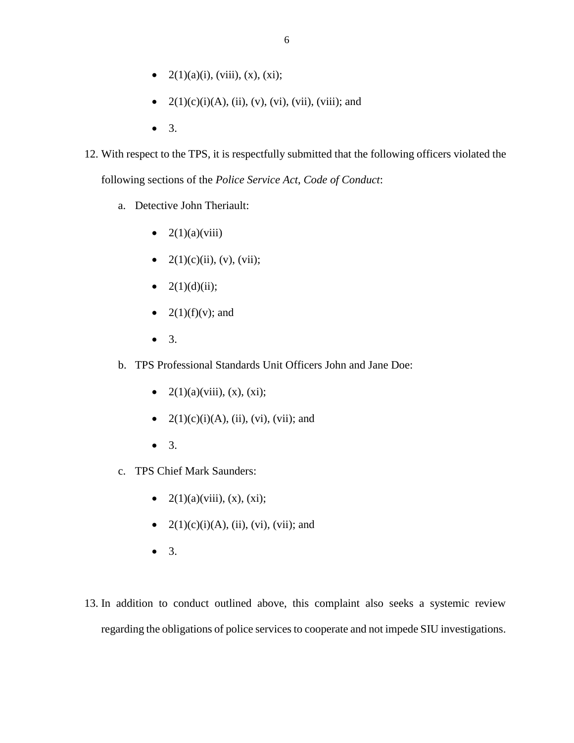- $2(1)(a)(i)$ , (viii), (x), (xi);
- $2(1)(c)(i)(A), (ii), (v), (vi), (vii), (viii); and$
- 3.
- 12. With respect to the TPS, it is respectfully submitted that the following officers violated the following sections of the *Police Service Act*, *Code of Conduct*:
	- a. Detective John Theriault:
		- $2(1)(a)(viii)$
		- $2(1)(c)(ii)$ , (v), (vii);
		- $2(1)(d)(ii)$ ;
		- $2(1)(f)(v)$ ; and
		- 3.
	- b. TPS Professional Standards Unit Officers John and Jane Doe:
		- $2(1)(a)(viii)$ ,  $(x)$ ,  $(xi)$ ;
		- $2(1)(c)(i)(A)$ , (ii), (vi), (vii); and
		- $\bullet$  3.
	- c. TPS Chief Mark Saunders:
		- $2(1)(a)(viii)$ ,  $(x)$ ,  $(xi)$ ;
		- $2(1)(c)(i)(A)$ , (ii), (vi), (vii); and
		- 3.
- 13. In addition to conduct outlined above, this complaint also seeks a systemic review regarding the obligations of police services to cooperate and not impede SIU investigations.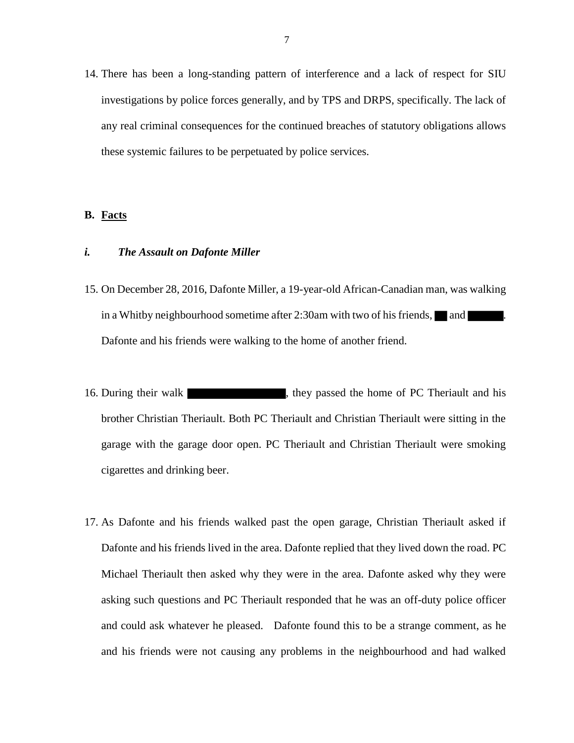14. There has been a long-standing pattern of interference and a lack of respect for SIU investigations by police forces generally, and by TPS and DRPS, specifically. The lack of any real criminal consequences for the continued breaches of statutory obligations allows these systemic failures to be perpetuated by police services.

### <span id="page-6-0"></span>**B. Facts**

### <span id="page-6-1"></span>*i. The Assault on Dafonte Miller*

- 15. On December 28, 2016, Dafonte Miller, a 19-year-old African-Canadian man, was walking in a Whitby neighbourhood sometime after 2:30am with two of his friends,  $\Box$  and Dafonte and his friends were walking to the home of another friend.
- 16. During their walk  $\blacksquare$ , they passed the home of PC Theriault and his brother Christian Theriault. Both PC Theriault and Christian Theriault were sitting in the garage with the garage door open. PC Theriault and Christian Theriault were smoking cigarettes and drinking beer.
- 17. As Dafonte and his friends walked past the open garage, Christian Theriault asked if Dafonte and his friends lived in the area. Dafonte replied that they lived down the road. PC Michael Theriault then asked why they were in the area. Dafonte asked why they were asking such questions and PC Theriault responded that he was an off-duty police officer and could ask whatever he pleased. Dafonte found this to be a strange comment, as he and his friends were not causing any problems in the neighbourhood and had walked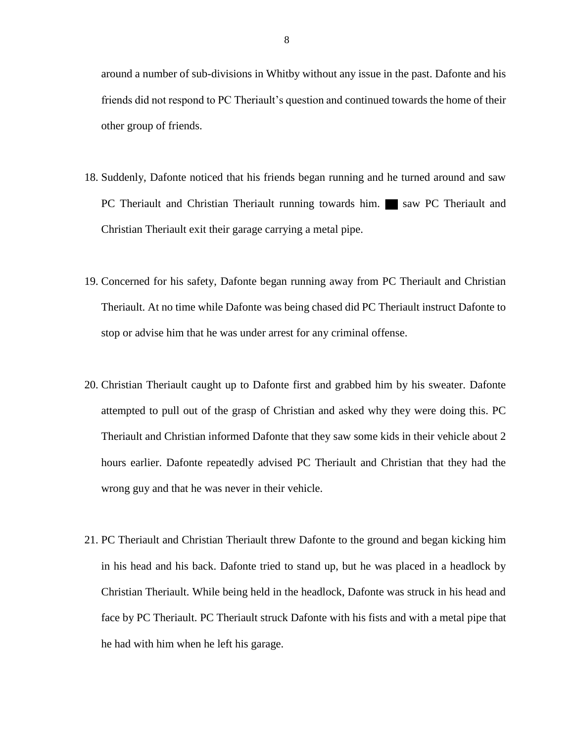around a number of sub-divisions in Whitby without any issue in the past. Dafonte and his friends did not respond to PC Theriault's question and continued towards the home of their other group of friends.

- 18. Suddenly, Dafonte noticed that his friends began running and he turned around and saw PC Theriault and Christian Theriault running towards him. Saw PC Theriault and Christian Theriault exit their garage carrying a metal pipe.
- 19. Concerned for his safety, Dafonte began running away from PC Theriault and Christian Theriault. At no time while Dafonte was being chased did PC Theriault instruct Dafonte to stop or advise him that he was under arrest for any criminal offense.
- 20. Christian Theriault caught up to Dafonte first and grabbed him by his sweater. Dafonte attempted to pull out of the grasp of Christian and asked why they were doing this. PC Theriault and Christian informed Dafonte that they saw some kids in their vehicle about 2 hours earlier. Dafonte repeatedly advised PC Theriault and Christian that they had the wrong guy and that he was never in their vehicle.
- 21. PC Theriault and Christian Theriault threw Dafonte to the ground and began kicking him in his head and his back. Dafonte tried to stand up, but he was placed in a headlock by Christian Theriault. While being held in the headlock, Dafonte was struck in his head and face by PC Theriault. PC Theriault struck Dafonte with his fists and with a metal pipe that he had with him when he left his garage.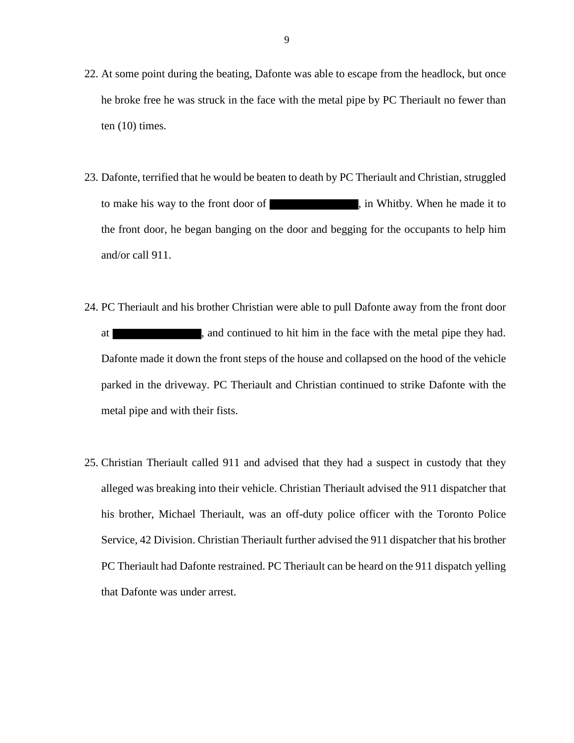- 22. At some point during the beating, Dafonte was able to escape from the headlock, but once he broke free he was struck in the face with the metal pipe by PC Theriault no fewer than ten  $(10)$  times.
- 23. Dafonte, terrified that he would be beaten to death by PC Theriault and Christian, struggled to make his way to the front door of , in Whitby. When he made it to the front door, he began banging on the door and begging for the occupants to help him and/or call 911.
- 24. PC Theriault and his brother Christian were able to pull Dafonte away from the front door at , and continued to hit him in the face with the metal pipe they had. Dafonte made it down the front steps of the house and collapsed on the hood of the vehicle parked in the driveway. PC Theriault and Christian continued to strike Dafonte with the metal pipe and with their fists.
- 25. Christian Theriault called 911 and advised that they had a suspect in custody that they alleged was breaking into their vehicle. Christian Theriault advised the 911 dispatcher that his brother, Michael Theriault, was an off-duty police officer with the Toronto Police Service, 42 Division. Christian Theriault further advised the 911 dispatcher that his brother PC Theriault had Dafonte restrained. PC Theriault can be heard on the 911 dispatch yelling that Dafonte was under arrest.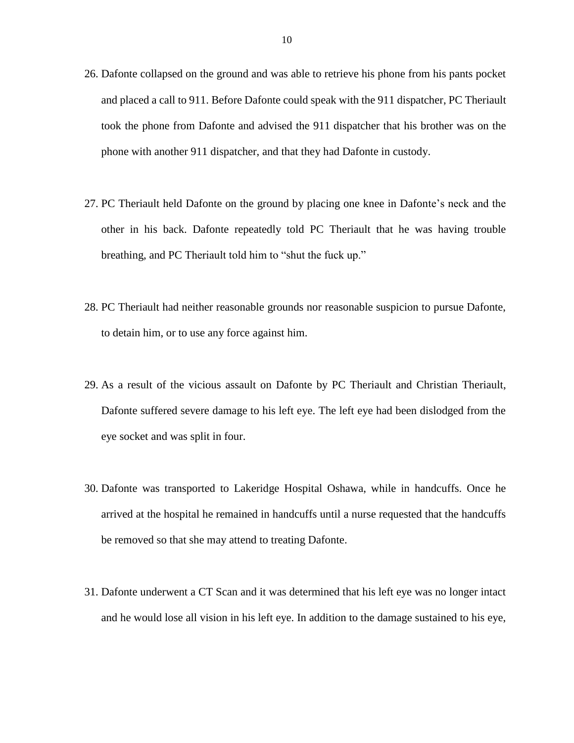- 26. Dafonte collapsed on the ground and was able to retrieve his phone from his pants pocket and placed a call to 911. Before Dafonte could speak with the 911 dispatcher, PC Theriault took the phone from Dafonte and advised the 911 dispatcher that his brother was on the phone with another 911 dispatcher, and that they had Dafonte in custody.
- 27. PC Theriault held Dafonte on the ground by placing one knee in Dafonte's neck and the other in his back. Dafonte repeatedly told PC Theriault that he was having trouble breathing, and PC Theriault told him to "shut the fuck up."
- 28. PC Theriault had neither reasonable grounds nor reasonable suspicion to pursue Dafonte, to detain him, or to use any force against him.
- 29. As a result of the vicious assault on Dafonte by PC Theriault and Christian Theriault, Dafonte suffered severe damage to his left eye. The left eye had been dislodged from the eye socket and was split in four.
- 30. Dafonte was transported to Lakeridge Hospital Oshawa, while in handcuffs. Once he arrived at the hospital he remained in handcuffs until a nurse requested that the handcuffs be removed so that she may attend to treating Dafonte.
- 31. Dafonte underwent a CT Scan and it was determined that his left eye was no longer intact and he would lose all vision in his left eye. In addition to the damage sustained to his eye,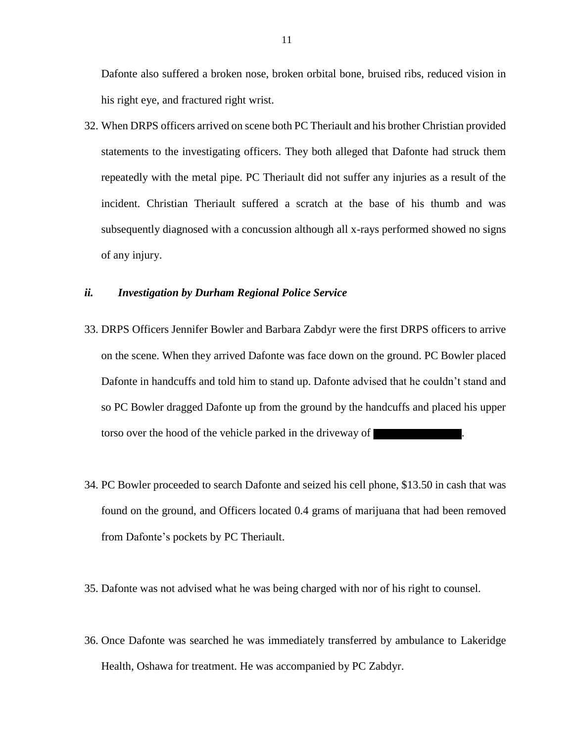Dafonte also suffered a broken nose, broken orbital bone, bruised ribs, reduced vision in his right eye, and fractured right wrist.

32. When DRPS officers arrived on scene both PC Theriault and his brother Christian provided statements to the investigating officers. They both alleged that Dafonte had struck them repeatedly with the metal pipe. PC Theriault did not suffer any injuries as a result of the incident. Christian Theriault suffered a scratch at the base of his thumb and was subsequently diagnosed with a concussion although all x-rays performed showed no signs of any injury.

## <span id="page-10-0"></span>*ii. Investigation by Durham Regional Police Service*

- 33. DRPS Officers Jennifer Bowler and Barbara Zabdyr were the first DRPS officers to arrive on the scene. When they arrived Dafonte was face down on the ground. PC Bowler placed Dafonte in handcuffs and told him to stand up. Dafonte advised that he couldn't stand and so PC Bowler dragged Dafonte up from the ground by the handcuffs and placed his upper torso over the hood of the vehicle parked in the driveway of
- 34. PC Bowler proceeded to search Dafonte and seized his cell phone, \$13.50 in cash that was found on the ground, and Officers located 0.4 grams of marijuana that had been removed from Dafonte's pockets by PC Theriault.
- 35. Dafonte was not advised what he was being charged with nor of his right to counsel.
- 36. Once Dafonte was searched he was immediately transferred by ambulance to Lakeridge Health, Oshawa for treatment. He was accompanied by PC Zabdyr.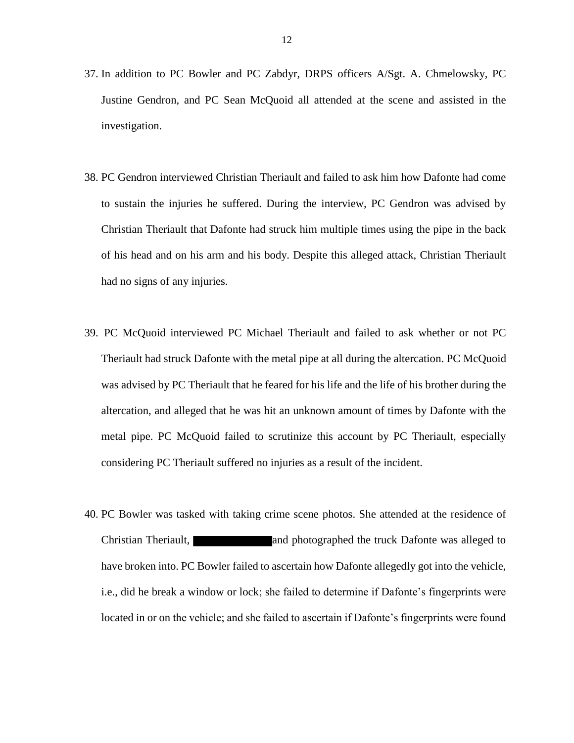- 37. In addition to PC Bowler and PC Zabdyr, DRPS officers A/Sgt. A. Chmelowsky, PC Justine Gendron, and PC Sean McQuoid all attended at the scene and assisted in the investigation.
- 38. PC Gendron interviewed Christian Theriault and failed to ask him how Dafonte had come to sustain the injuries he suffered. During the interview, PC Gendron was advised by Christian Theriault that Dafonte had struck him multiple times using the pipe in the back of his head and on his arm and his body. Despite this alleged attack, Christian Theriault had no signs of any injuries.
- 39. PC McQuoid interviewed PC Michael Theriault and failed to ask whether or not PC Theriault had struck Dafonte with the metal pipe at all during the altercation. PC McQuoid was advised by PC Theriault that he feared for his life and the life of his brother during the altercation, and alleged that he was hit an unknown amount of times by Dafonte with the metal pipe. PC McQuoid failed to scrutinize this account by PC Theriault, especially considering PC Theriault suffered no injuries as a result of the incident.
- 40. PC Bowler was tasked with taking crime scene photos. She attended at the residence of Christian Theriault, and photographed the truck Dafonte was alleged to have broken into. PC Bowler failed to ascertain how Dafonte allegedly got into the vehicle, i.e., did he break a window or lock; she failed to determine if Dafonte's fingerprints were located in or on the vehicle; and she failed to ascertain if Dafonte's fingerprints were found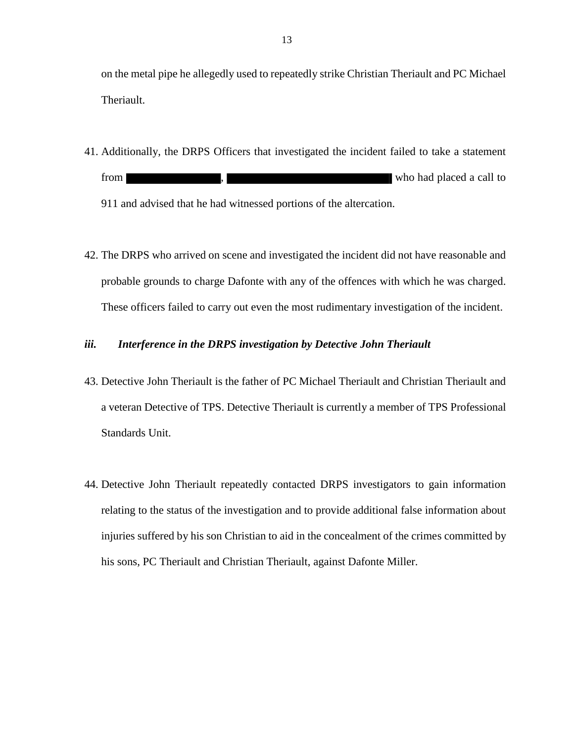on the metal pipe he allegedly used to repeatedly strike Christian Theriault and PC Michael Theriault.

41. Additionally, the DRPS Officers that investigated the incident failed to take a statement from , who had placed a call to

911 and advised that he had witnessed portions of the altercation.

42. The DRPS who arrived on scene and investigated the incident did not have reasonable and probable grounds to charge Dafonte with any of the offences with which he was charged. These officers failed to carry out even the most rudimentary investigation of the incident.

# <span id="page-12-0"></span>*iii. Interference in the DRPS investigation by Detective John Theriault*

- 43. Detective John Theriault is the father of PC Michael Theriault and Christian Theriault and a veteran Detective of TPS. Detective Theriault is currently a member of TPS Professional Standards Unit.
- 44. Detective John Theriault repeatedly contacted DRPS investigators to gain information relating to the status of the investigation and to provide additional false information about injuries suffered by his son Christian to aid in the concealment of the crimes committed by his sons, PC Theriault and Christian Theriault, against Dafonte Miller.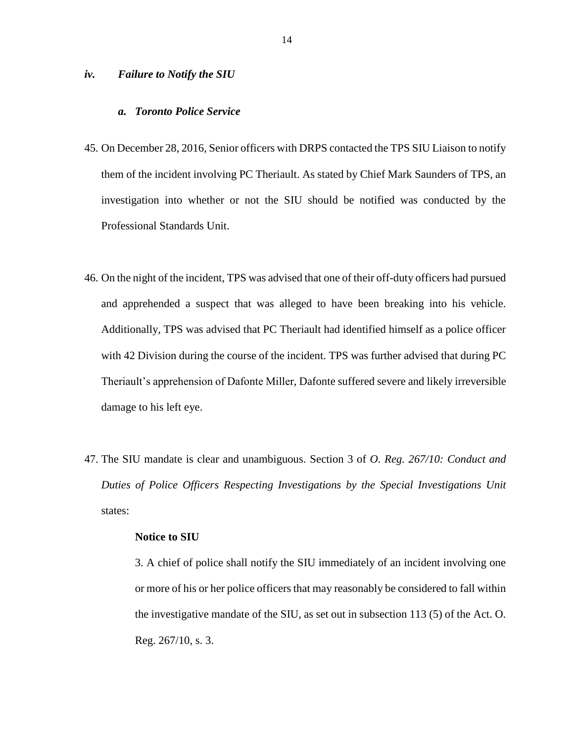### <span id="page-13-1"></span><span id="page-13-0"></span>*iv. Failure to Notify the SIU*

### *a. Toronto Police Service*

- 45. On December 28, 2016, Senior officers with DRPS contacted the TPS SIU Liaison to notify them of the incident involving PC Theriault. As stated by Chief Mark Saunders of TPS, an investigation into whether or not the SIU should be notified was conducted by the Professional Standards Unit.
- 46. On the night of the incident, TPS was advised that one of their off-duty officers had pursued and apprehended a suspect that was alleged to have been breaking into his vehicle. Additionally, TPS was advised that PC Theriault had identified himself as a police officer with 42 Division during the course of the incident. TPS was further advised that during PC Theriault's apprehension of Dafonte Miller, Dafonte suffered severe and likely irreversible damage to his left eye.
- 47. The SIU mandate is clear and unambiguous. Section 3 of *O. Reg. 267/10: Conduct and Duties of Police Officers Respecting Investigations by the Special Investigations Unit* states:

### **Notice to SIU**

3. A chief of police shall notify the SIU immediately of an incident involving one or more of his or her police officers that may reasonably be considered to fall within the investigative mandate of the SIU, as set out in subsection 113 (5) of the Act. O. Reg. 267/10, s. 3.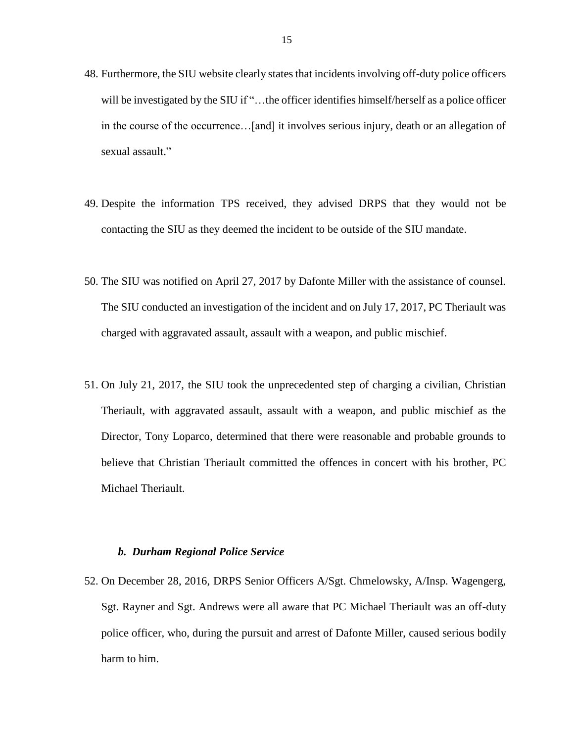- 48. Furthermore, the SIU website clearly states that incidents involving off-duty police officers will be investigated by the SIU if "...the officer identifies himself/herself as a police officer in the course of the occurrence…[and] it involves serious injury, death or an allegation of sexual assault."
- 49. Despite the information TPS received, they advised DRPS that they would not be contacting the SIU as they deemed the incident to be outside of the SIU mandate.
- 50. The SIU was notified on April 27, 2017 by Dafonte Miller with the assistance of counsel. The SIU conducted an investigation of the incident and on July 17, 2017, PC Theriault was charged with aggravated assault, assault with a weapon, and public mischief.
- 51. On July 21, 2017, the SIU took the unprecedented step of charging a civilian, Christian Theriault, with aggravated assault, assault with a weapon, and public mischief as the Director, Tony Loparco, determined that there were reasonable and probable grounds to believe that Christian Theriault committed the offences in concert with his brother, PC Michael Theriault.

## *b. Durham Regional Police Service*

<span id="page-14-0"></span>52. On December 28, 2016, DRPS Senior Officers A/Sgt. Chmelowsky, A/Insp. Wagengerg, Sgt. Rayner and Sgt. Andrews were all aware that PC Michael Theriault was an off-duty police officer, who, during the pursuit and arrest of Dafonte Miller, caused serious bodily harm to him.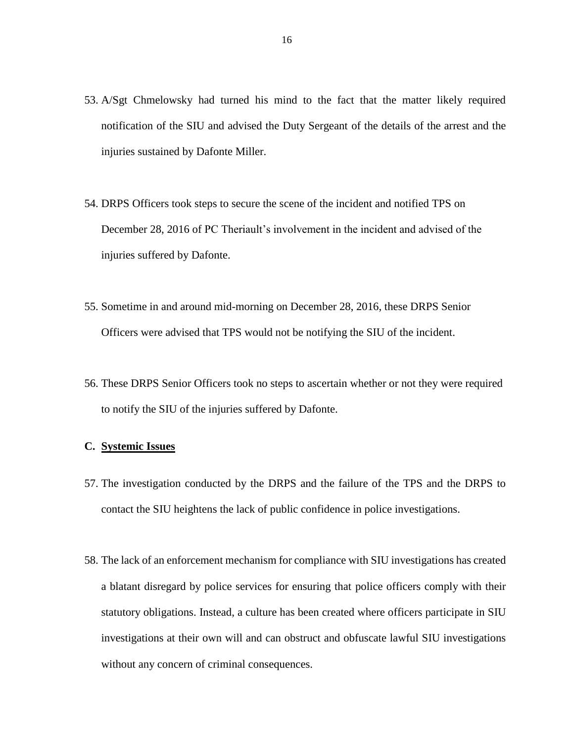- 53. A/Sgt Chmelowsky had turned his mind to the fact that the matter likely required notification of the SIU and advised the Duty Sergeant of the details of the arrest and the injuries sustained by Dafonte Miller.
- 54. DRPS Officers took steps to secure the scene of the incident and notified TPS on December 28, 2016 of PC Theriault's involvement in the incident and advised of the injuries suffered by Dafonte.
- 55. Sometime in and around mid-morning on December 28, 2016, these DRPS Senior Officers were advised that TPS would not be notifying the SIU of the incident.
- 56. These DRPS Senior Officers took no steps to ascertain whether or not they were required to notify the SIU of the injuries suffered by Dafonte.

## <span id="page-15-0"></span>**C. Systemic Issues**

- 57. The investigation conducted by the DRPS and the failure of the TPS and the DRPS to contact the SIU heightens the lack of public confidence in police investigations.
- 58. The lack of an enforcement mechanism for compliance with SIU investigations has created a blatant disregard by police services for ensuring that police officers comply with their statutory obligations. Instead, a culture has been created where officers participate in SIU investigations at their own will and can obstruct and obfuscate lawful SIU investigations without any concern of criminal consequences.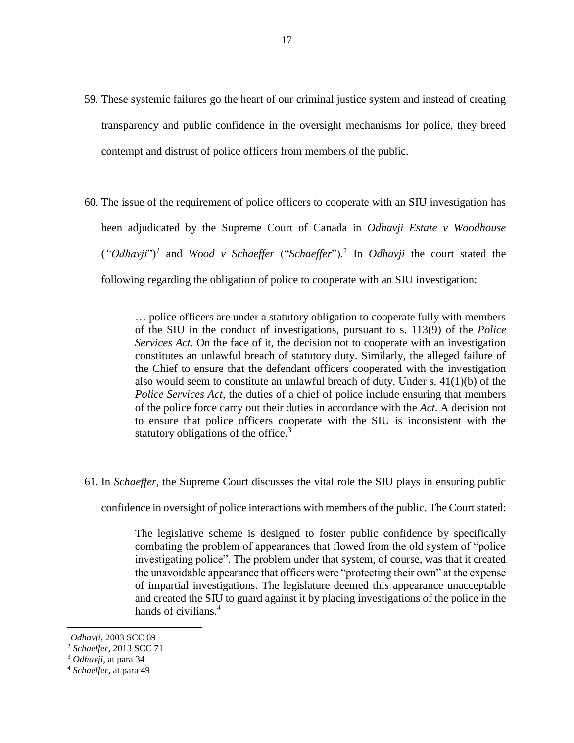- 59. These systemic failures go the heart of our criminal justice system and instead of creating transparency and public confidence in the oversight mechanisms for police, they breed contempt and distrust of police officers from members of the public.
- 60. The issue of the requirement of police officers to cooperate with an SIU investigation has been adjudicated by the Supreme Court of Canada in *Odhavji Estate v Woodhouse* (*"Odhavji*")*<sup>1</sup>* and *Wood v Schaeffer* ("*Schaeffer*"). 2 In *Odhavji* the court stated the following regarding the obligation of police to cooperate with an SIU investigation:

… police officers are under a statutory obligation to cooperate fully with members of the SIU in the conduct of investigations, pursuant to s. 113(9) of the *Police Services Act*. On the face of it, the decision not to cooperate with an investigation constitutes an unlawful breach of statutory duty. Similarly, the alleged failure of the Chief to ensure that the defendant officers cooperated with the investigation also would seem to constitute an unlawful breach of duty. Under s. 41(1)(b) of the *Police Services Act*, the duties of a chief of police include ensuring that members of the police force carry out their duties in accordance with the *Act*. A decision not to ensure that police officers cooperate with the SIU is inconsistent with the statutory obligations of the office. $3$ 

61. In *Schaeffer*, the Supreme Court discusses the vital role the SIU plays in ensuring public

confidence in oversight of police interactions with members of the public. The Court stated:

The legislative scheme is designed to foster public confidence by specifically combating the problem of appearances that flowed from the old system of "police investigating police". The problem under that system, of course, was that it created the unavoidable appearance that officers were "protecting their own" at the expense of impartial investigations. The legislature deemed this appearance unacceptable and created the SIU to guard against it by placing investigations of the police in the hands of civilians.<sup>4</sup>

 $\overline{\phantom{a}}$ 

<sup>1</sup>*Odhavji*, 2003 SCC 69

<sup>2</sup> *Schaeffer*, 2013 SCC 71

<sup>3</sup> *Odhavji*, at para 34

<sup>4</sup> *Schaeffer*, at para 49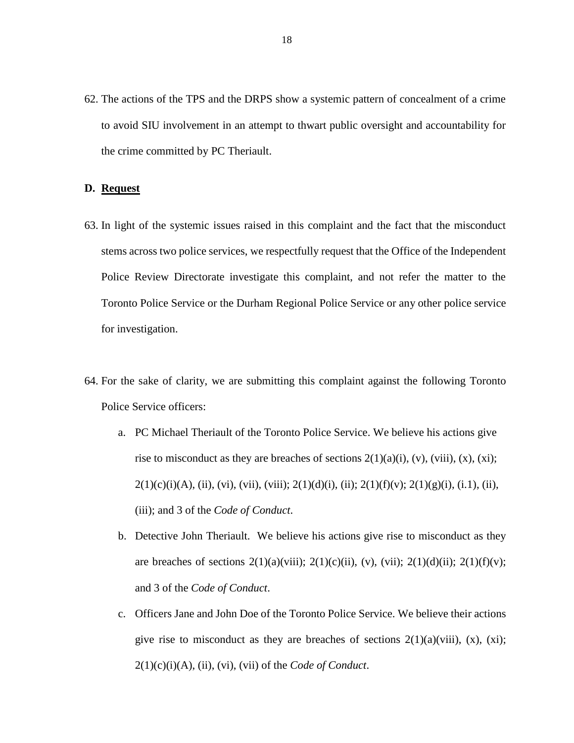62. The actions of the TPS and the DRPS show a systemic pattern of concealment of a crime to avoid SIU involvement in an attempt to thwart public oversight and accountability for the crime committed by PC Theriault.

### <span id="page-17-0"></span>**D. Request**

- 63. In light of the systemic issues raised in this complaint and the fact that the misconduct stems across two police services, we respectfully request that the Office of the Independent Police Review Directorate investigate this complaint, and not refer the matter to the Toronto Police Service or the Durham Regional Police Service or any other police service for investigation.
- 64. For the sake of clarity, we are submitting this complaint against the following Toronto Police Service officers:
	- a. PC Michael Theriault of the Toronto Police Service. We believe his actions give rise to misconduct as they are breaches of sections  $2(1)(a)(i)$ ,  $(v)$ ,  $(viii)$ ,  $(x)$ ,  $(xi)$ ;  $2(1)(c)(i)(A), (ii), (vii), (viii), (viii); 2(1)(d)(i), (ii); 2(1)(f)(v); 2(1)(g)(i), (i.1), (ii),$ (iii); and 3 of the *Code of Conduct*.
	- b. Detective John Theriault. We believe his actions give rise to misconduct as they are breaches of sections  $2(1)(a)(viii)$ ;  $2(1)(c)(ii)$ ,  $(v)$ ,  $(vii)$ ;  $2(1)(d)(ii)$ ;  $2(1)(f)(v)$ ; and 3 of the *Code of Conduct*.
	- c. Officers Jane and John Doe of the Toronto Police Service. We believe their actions give rise to misconduct as they are breaches of sections  $2(1)(a)(viii)$ ,  $(x)$ ,  $(xi)$ ; 2(1)(c)(i)(A), (ii), (vi), (vii) of the *Code of Conduct*.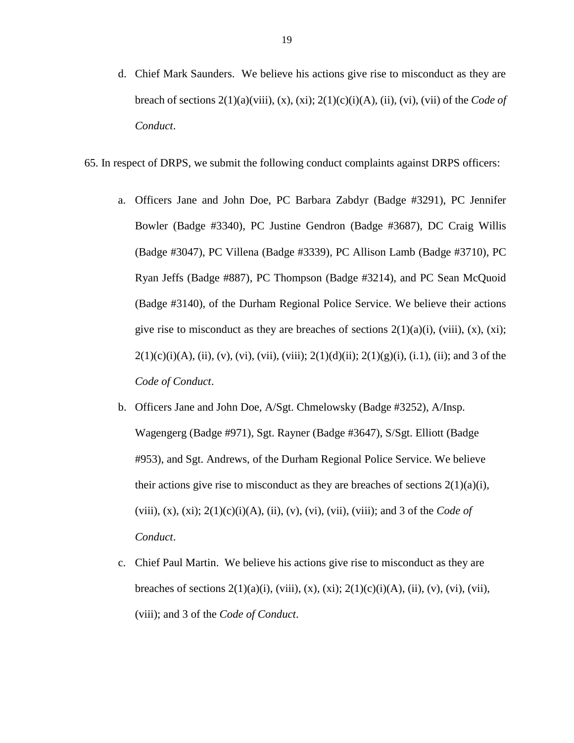- d. Chief Mark Saunders. We believe his actions give rise to misconduct as they are breach of sections 2(1)(a)(viii), (x), (xi); 2(1)(c)(i)(A), (ii), (vi), (vii) of the *Code of Conduct*.
- 65. In respect of DRPS, we submit the following conduct complaints against DRPS officers:
	- a. Officers Jane and John Doe, PC Barbara Zabdyr (Badge #3291), PC Jennifer Bowler (Badge #3340), PC Justine Gendron (Badge #3687), DC Craig Willis (Badge #3047), PC Villena (Badge #3339), PC Allison Lamb (Badge #3710), PC Ryan Jeffs (Badge #887), PC Thompson (Badge #3214), and PC Sean McQuoid (Badge #3140), of the Durham Regional Police Service. We believe their actions give rise to misconduct as they are breaches of sections  $2(1)(a)(i)$ ,  $(viii)$ ,  $(x)$ ,  $(xi)$ ;  $2(1)(c)(i)(A), (ii), (v), (vi), (vii), (viii); 2(1)(d)(ii); 2(1)(g)(i), (i.1), (ii); and 3 of the$ *Code of Conduct*.
	- b. Officers Jane and John Doe, A/Sgt. Chmelowsky (Badge #3252), A/Insp. Wagengerg (Badge #971), Sgt. Rayner (Badge #3647), S/Sgt. Elliott (Badge #953), and Sgt. Andrews, of the Durham Regional Police Service. We believe their actions give rise to misconduct as they are breaches of sections  $2(1)(a)(i)$ , (viii), (x), (xi); 2(1)(c)(i)(A), (ii), (v), (vi), (vii), (viii); and 3 of the *Code of Conduct*.
	- c. Chief Paul Martin. We believe his actions give rise to misconduct as they are breaches of sections  $2(1)(a)(i)$ , (viii), (x), (xi);  $2(1)(c)(i)(A)$ , (ii), (v), (vii), (vii), (viii); and 3 of the *Code of Conduct*.